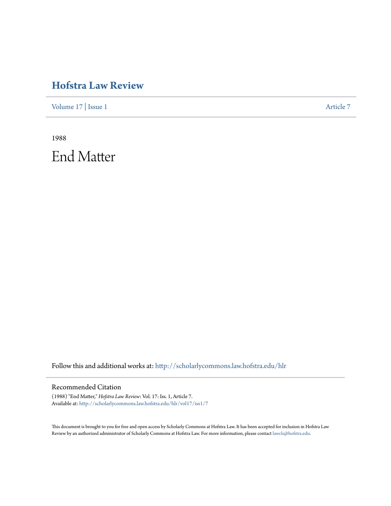# **[Hofstra Law Review](http://scholarlycommons.law.hofstra.edu/hlr?utm_source=scholarlycommons.law.hofstra.edu%2Fhlr%2Fvol17%2Fiss1%2F7&utm_medium=PDF&utm_campaign=PDFCoverPages)**

[Volume 17](http://scholarlycommons.law.hofstra.edu/hlr/vol17?utm_source=scholarlycommons.law.hofstra.edu%2Fhlr%2Fvol17%2Fiss1%2F7&utm_medium=PDF&utm_campaign=PDFCoverPages) | [Issue 1](http://scholarlycommons.law.hofstra.edu/hlr/vol17/iss1?utm_source=scholarlycommons.law.hofstra.edu%2Fhlr%2Fvol17%2Fiss1%2F7&utm_medium=PDF&utm_campaign=PDFCoverPages) [Article 7](http://scholarlycommons.law.hofstra.edu/hlr/vol17/iss1/7?utm_source=scholarlycommons.law.hofstra.edu%2Fhlr%2Fvol17%2Fiss1%2F7&utm_medium=PDF&utm_campaign=PDFCoverPages)

1988 End Matter

Follow this and additional works at: [http://scholarlycommons.law.hofstra.edu/hlr](http://scholarlycommons.law.hofstra.edu/hlr?utm_source=scholarlycommons.law.hofstra.edu%2Fhlr%2Fvol17%2Fiss1%2F7&utm_medium=PDF&utm_campaign=PDFCoverPages)

#### Recommended Citation

(1988) "End Matter," *Hofstra Law Review*: Vol. 17: Iss. 1, Article 7. Available at: [http://scholarlycommons.law.hofstra.edu/hlr/vol17/iss1/7](http://scholarlycommons.law.hofstra.edu/hlr/vol17/iss1/7?utm_source=scholarlycommons.law.hofstra.edu%2Fhlr%2Fvol17%2Fiss1%2F7&utm_medium=PDF&utm_campaign=PDFCoverPages)

This document is brought to you for free and open access by Scholarly Commons at Hofstra Law. It has been accepted for inclusion in Hofstra Law Review by an authorized administrator of Scholarly Commons at Hofstra Law. For more information, please contact [lawcls@hofstra.edu](mailto:lawcls@hofstra.edu).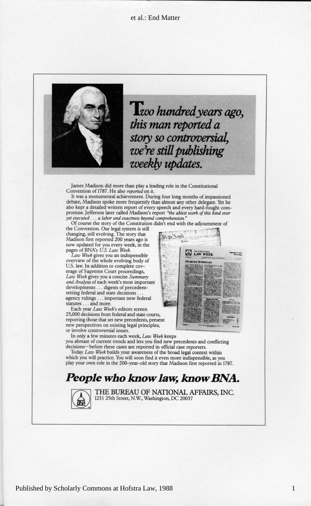#### et al.: End Matter



weekly updates. we're still publishing *his man reported a*<br>*story so controversial.*  $L$ *vo* hundred year

> l stil s i stil stil stil sensor  $t = 1$  . Every strill state  $t$  $\sim$  in  $\sim$  20  $\mu$  madison of  $\sim$  20  $\mu$ **Example of the intervention of the intervention of the determination of the update with the second water**  $\frac{1}{2}$  *EAW WEEK* **WEEK** f o y bod g evolvin e whole evolving the whole the whole the whole the whole the whole the whole the whole the - complete of the complete of the complete of the complete of the contract of the complete of the contract of the contract of the contract of the contract of the contract of the contract of the contract of the contract of

> *Summary* e concis a u yo s give *Week w La*

a leading role in the Constitutional

comprehension."<br>lidn't end with the adjournment of promise. Jefferson later called Madison's report "the ablest work of this kind ever<br>vet executed ... a labor and exactness beyond comprehension." also kept a detailed written report of every speech and every hard-fought comdebate, Madison spoke more frequently than almost any other delegate. Yet he it.<br>uring four long months of impassioned

10. pr Taple

the Convention. Our legal system is still changing, still evolving. The story that<br>Madison first reported 200 years ago is **K** We will be the set of the set of the pages of BNA's U.S. Law Week.<br>
Law Week gives you an indispensible

overview of the whole evolving body of U.S. law. In addition to complete cov-<br>erage of Supreme Court proceedings,<br>Law Week gives you a concise Summary *lysis* of each week's most important<br>ments . . . digests of precedent*setting federal and state decisions* . -agency rulings . . . important new federal statutes . . . and more.

Each year Law Week's editors screen 25,000 decisions from federal and state courts,<br>reporting those that set new precedents, present<br>new perspectives on existing legal principles, ts, **it is a strategic of als expected** of  $\overline{\phantom{a}}$ or involve controversial issues.

In only a few minutes each week, *Law Week* keeps<br>you abreast of current trends and lets you find new precedents and conflicting<br>decisions—before these cases are reported in official case reporters.

play your own role in the 200-year-old story that Madison first reported in 1787. Today *Law Week* builds your awareness of the broad legal context within which you will practice. You will soon find it even more indispensible, as you

### *People who know law, know BNA.*

**THE BUREAU OF NATIONAL AFFAIRS, INC.**<br>1231 25th Street, N.W., Washington, DC 20037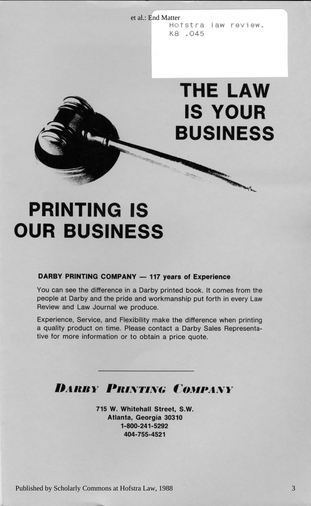et al.: End Matter Hofstra law review. K8 .045

## **2 1-800-241-529 0 3031 a Georgi , Atlanta . S.W , Street l Whitehal . W5 71 IS YOUR BUSINESS**

## **OUR BUSINESS** e the m from s come t i e difference that i se n i e difference that i e difference that i e difference that i w La Y even n i h fort t pu p workmanshi d an y Darb t an y Darb t an y Darb t an y Darb t an y Darb t an y Da

#### **DARBY PRINTING COMPANY - 117 years of Experience**

You can see the difference in a Darby printed book. It comes from the people at Darby and the pride and workmanship put forth in every Law Review and Law Journal we produce.

g printin n when  $\rho$  is the main  $\rho$  Fieldiei and  $\rho$  Fieldiei and  $\rho$  Fieldiei and Service , Experience , Experience , Experience , Experience , Experience , Experience , Experience , Experience , Experience , Experi - Representative s Sale y Darb a t contact e Pleas . Time n o t product a t product a t product a t product a

**1 404-755-452**

. Quote e pric a n obtained the price and the price of the more result of the more result of the more result of

Experience, Service, and Flexibility make the difference when printing a quality product on time. Please contact a Darby Sales Representative for more information or to obtain a price quote.

## *DARRY PRINTING COMPANY*

**715 W. Whitehall Street, S.W.<br>Atlanta, Georgia 30310<br>1-800-241-5292** 404-755-4521

Published by Scholarly Commons at Hofstra Law, 1988

**S BUSINES**